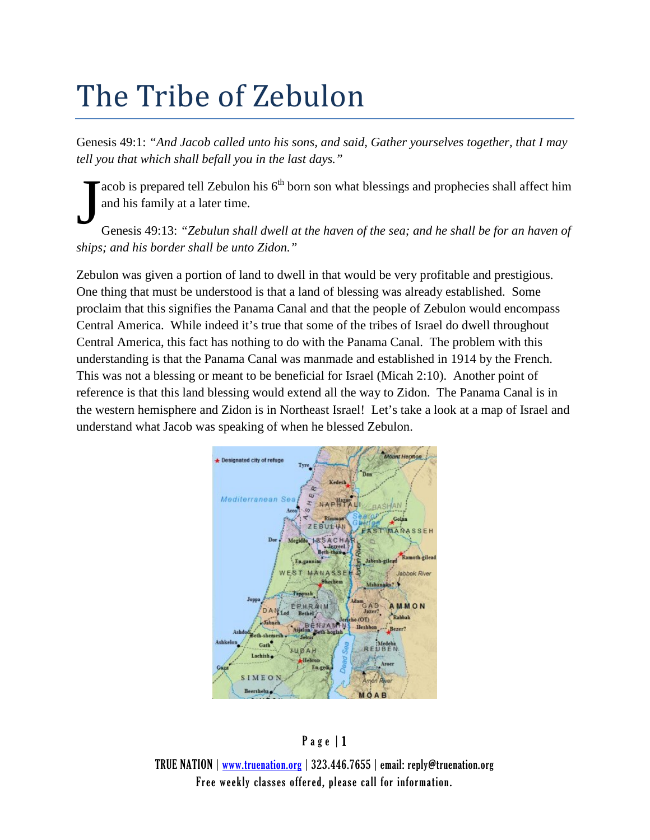## The Tribe of Zebulon

Genesis 49:1: *"And Jacob called unto his sons, and said, Gather yourselves together, that I may tell you that which shall befall you in the last days."*

acob is prepared tell Zebulon his  $6<sup>th</sup>$  born son what blessings and prophecies shall affect him and his family at a later time.

Genesis 49:13: *"Zebulun shall dwell at the haven of the sea; and he shall be for an haven of ships; and his border shall be unto Zidon."*  J

Zebulon was given a portion of land to dwell in that would be very profitable and prestigious. One thing that must be understood is that a land of blessing was already established. Some proclaim that this signifies the Panama Canal and that the people of Zebulon would encompass Central America. While indeed it's true that some of the tribes of Israel do dwell throughout Central America, this fact has nothing to do with the Panama Canal. The problem with this understanding is that the Panama Canal was manmade and established in 1914 by the French. This was not a blessing or meant to be beneficial for Israel (Micah 2:10). Another point of reference is that this land blessing would extend all the way to Zidon. The Panama Canal is in the western hemisphere and Zidon is in Northeast Israel! Let's take a look at a map of Israel and understand what Jacob was speaking of when he blessed Zebulon.



## Page | 1

TRUE NATION | [www.truenation.org](http://www.truenation.org/) | 323.446.7655 | email: reply@truenation.org Free weekly classes offered, please call for information.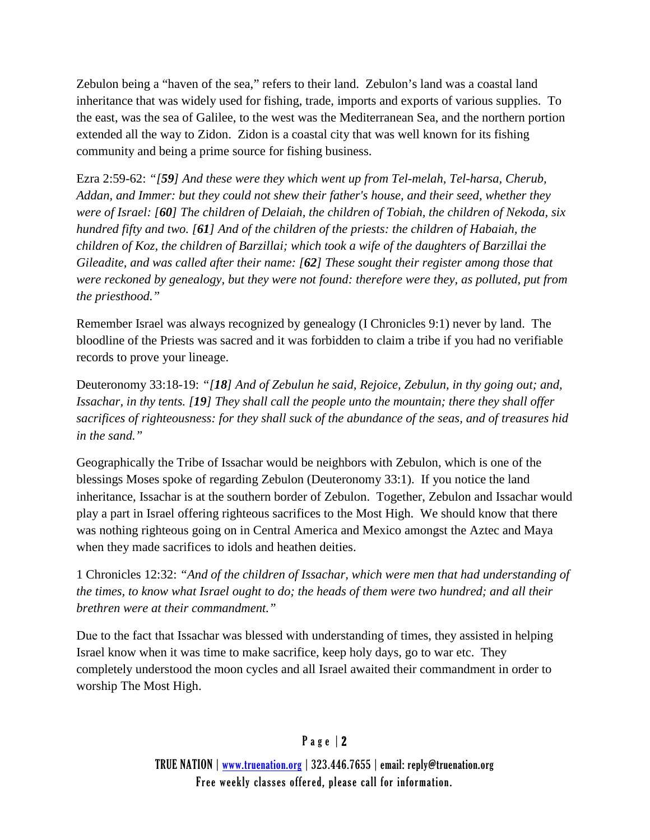Zebulon being a "haven of the sea," refers to their land. Zebulon's land was a coastal land inheritance that was widely used for fishing, trade, imports and exports of various supplies. To the east, was the sea of Galilee, to the west was the Mediterranean Sea, and the northern portion extended all the way to Zidon. Zidon is a coastal city that was well known for its fishing community and being a prime source for fishing business.

Ezra 2:59-62: *"[59] And these were they which went up from Tel-melah, Tel-harsa, Cherub, Addan, and Immer: but they could not shew their father's house, and their seed, whether they were of Israel: [60] The children of Delaiah, the children of Tobiah, the children of Nekoda, six hundred fifty and two. [61] And of the children of the priests: the children of Habaiah, the children of Koz, the children of Barzillai; which took a wife of the daughters of Barzillai the Gileadite, and was called after their name: [62] These sought their register among those that were reckoned by genealogy, but they were not found: therefore were they, as polluted, put from the priesthood."*

Remember Israel was always recognized by genealogy (I Chronicles 9:1) never by land. The bloodline of the Priests was sacred and it was forbidden to claim a tribe if you had no verifiable records to prove your lineage.

Deuteronomy 33:18-19: *"[18] And of Zebulun he said, Rejoice, Zebulun, in thy going out; and, Issachar, in thy tents. [19] They shall call the people unto the mountain; there they shall offer sacrifices of righteousness: for they shall suck of the abundance of the seas, and of treasures hid in the sand."*

Geographically the Tribe of Issachar would be neighbors with Zebulon, which is one of the blessings Moses spoke of regarding Zebulon (Deuteronomy 33:1). If you notice the land inheritance, Issachar is at the southern border of Zebulon. Together, Zebulon and Issachar would play a part in Israel offering righteous sacrifices to the Most High. We should know that there was nothing righteous going on in Central America and Mexico amongst the Aztec and Maya when they made sacrifices to idols and heathen deities.

1 Chronicles 12:32: *"And of the children of Issachar, which were men that had understanding of the times, to know what Israel ought to do; the heads of them were two hundred; and all their brethren were at their commandment."*

Due to the fact that Issachar was blessed with understanding of times, they assisted in helping Israel know when it was time to make sacrifice, keep holy days, go to war etc. They completely understood the moon cycles and all Israel awaited their commandment in order to worship The Most High.

## Page | 2

TRUE NATION | [www.truenation.org](http://www.truenation.org/) | 323.446.7655 | email: reply@truenation.org Free weekly classes offered, please call for information.